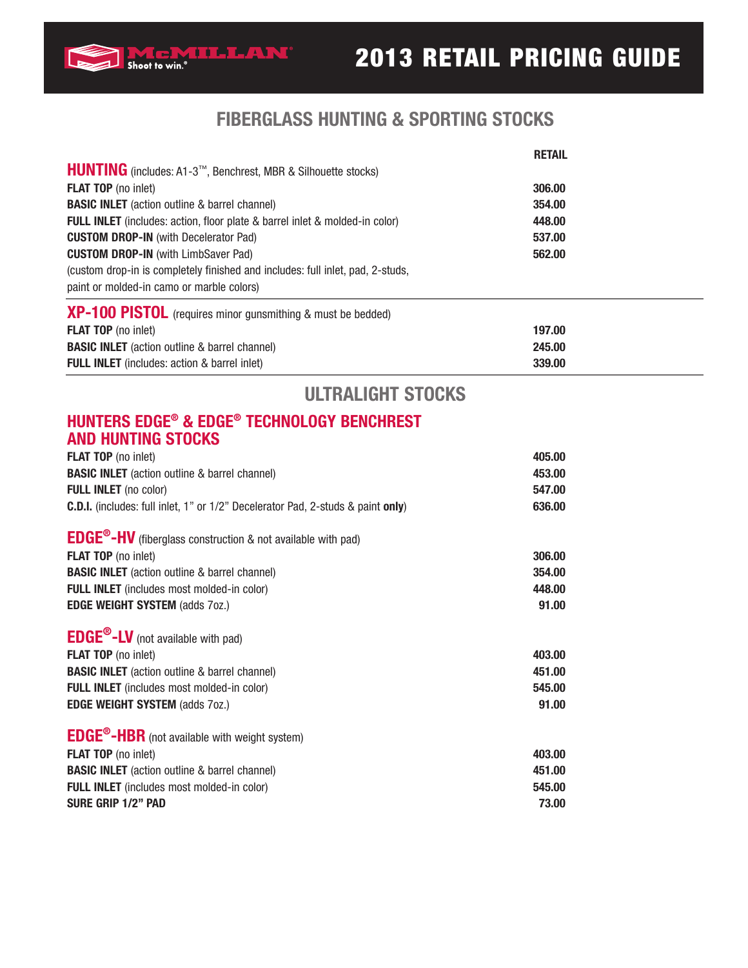

|                                                                                    | <b>RETAIL</b> |  |
|------------------------------------------------------------------------------------|---------------|--|
| HUNTING (includes: A1-3™, Benchrest, MBR & Silhouette stocks)                      |               |  |
| <b>FLAT TOP</b> (no inlet)                                                         | 306.00        |  |
| <b>BASIC INLET</b> (action outline & barrel channel)                               | 354.00        |  |
| <b>FULL INLET</b> (includes: action, floor plate & barrel inlet & molded-in color) | 448.00        |  |
| <b>CUSTOM DROP-IN (with Decelerator Pad)</b>                                       | 537.00        |  |
| <b>CUSTOM DROP-IN (with LimbSaver Pad)</b>                                         | 562.00        |  |
| (custom drop-in is completely finished and includes: full inlet, pad, 2-studs,     |               |  |
| paint or molded-in camo or marble colors)                                          |               |  |
| <b>XP-100 PISTOL</b> (requires minor gunsmithing & must be bedded)                 |               |  |
| <b>FLAT TOP</b> (no inlet)                                                         | 197.00        |  |
| <b>BASIC INLET</b> (action outline & barrel channel)                               | 245.00        |  |
| <b>FULL INLET</b> (includes: action & barrel inlet)                                | 339.00        |  |

# **ULTRALIGHT STOCKS**

#### **HUNTERS EDGE® & EDGE® TECHNOLOGY BENCHREST AND HUNTING STOCKS**

Shoot to win.<sup>\*</sup>

| <b>FLAT TOP</b> (no inlet)<br><b>BASIC INLET</b> (action outline & barrel channel)<br><b>FULL INLET</b> (no color)<br><b>C.D.I.</b> (includes: full inlet, 1" or 1/2" Decelerator Pad, 2-studs & paint only)                            | 405.00<br>453.00<br>547.00<br>636.00 |
|-----------------------------------------------------------------------------------------------------------------------------------------------------------------------------------------------------------------------------------------|--------------------------------------|
| <b>EDGE<sup>®</sup>-HV</b> (fiberglass construction & not available with pad)                                                                                                                                                           |                                      |
| <b>FLAT TOP</b> (no inlet)                                                                                                                                                                                                              | 306.00                               |
| <b>BASIC INLET</b> (action outline & barrel channel)                                                                                                                                                                                    | 354.00                               |
| <b>FULL INLET</b> (includes most molded-in color)                                                                                                                                                                                       | 448.00                               |
| <b>EDGE WEIGHT SYSTEM (adds 70Z.)</b>                                                                                                                                                                                                   | 91.00                                |
| <b>EDGE<sup>®</sup>-LV</b> (not available with pad)<br><b>FLAT TOP</b> (no inlet)<br><b>BASIC INLET</b> (action outline & barrel channel)<br><b>FULL INLET</b> (includes most molded-in color)<br><b>EDGE WEIGHT SYSTEM (adds 70Z.)</b> | 403.00<br>451.00<br>545.00<br>91.00  |
| <b>EDGE<sup>®</sup>-HBR</b> (not available with weight system)                                                                                                                                                                          |                                      |
| <b>FLAT TOP</b> (no inlet)                                                                                                                                                                                                              | 403.00                               |
| <b>BASIC INLET</b> (action outline & barrel channel)                                                                                                                                                                                    | 451.00                               |
| <b>FULL INLET</b> (includes most molded-in color)                                                                                                                                                                                       | 545.00                               |
| SURE GRIP 1/2" PAD                                                                                                                                                                                                                      | 73.00                                |
|                                                                                                                                                                                                                                         |                                      |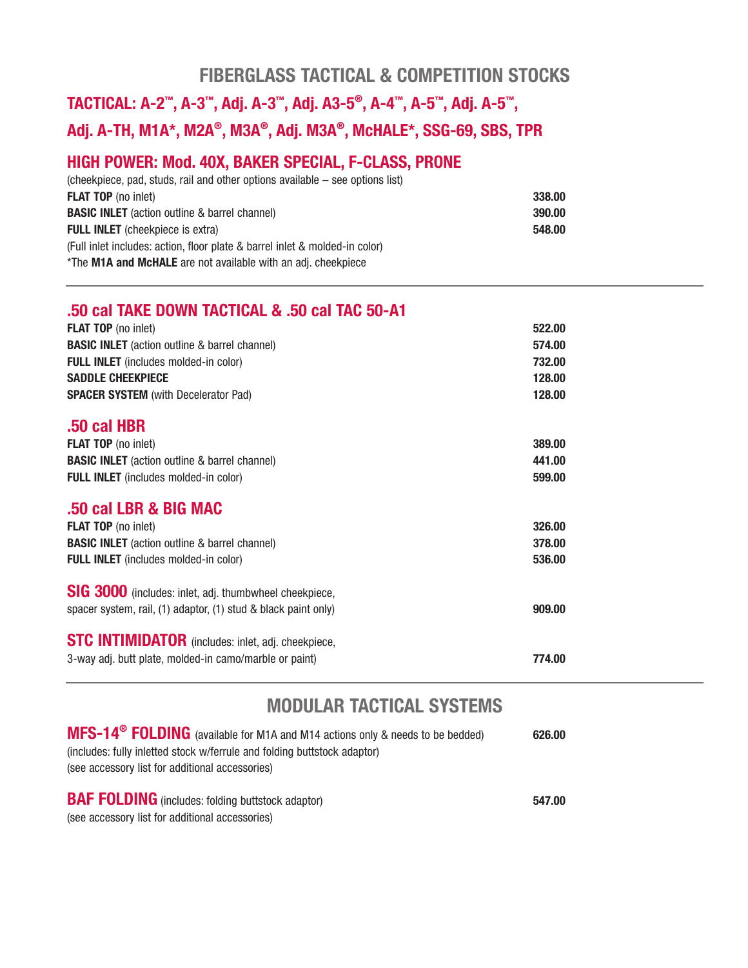## **FIBERGLASS TACTICAL & COMPETITION STOCKS**

# **TACTICAL: A-2™, A-3™, Adj. A-3™, Adj. A3-5®, A-4™, A-5™, Adj. A-5™, Adj. A-TH, M1A\*, M2A®, M3A®, Adj. M3A®, McHALE\*, SSG-69, SBS, TPR**

### **HIGH POWER: Mod. 40X, BAKER SPECIAL, F-CLASS, PRONE**

| $(cheekpiece, pad, studs, rail and other options available – see options list)$ |        |
|---------------------------------------------------------------------------------|--------|
| <b>FLAT TOP</b> (no inlet)                                                      | 338.00 |
| <b>BASIC INLET</b> (action outline & barrel channel)                            | 390.00 |
| <b>FULL INLET</b> (cheekpiece is extra)                                         | 548.00 |
| (Full inlet includes: action, floor plate & barrel inlet & molded-in color)     |        |
| *The M1A and McHALE are not available with an adj. cheekpiece                   |        |

#### **.50 cal TAKE DOWN TACTICAL & .50 cal TAC 50-A1**

| FLAT TOP (no inlet)                                            | 522.00 |
|----------------------------------------------------------------|--------|
| <b>BASIC INLET</b> (action outline & barrel channel)           | 574.00 |
| FULL INLET (includes molded-in color)                          | 732.00 |
| Saddle Cheekpiece                                              | 128.00 |
| <b>SPACER SYSTEM</b> (with Decelerator Pad)                    | 128.00 |
| .50 cal HBR                                                    |        |
| <b>FLAT TOP</b> (no inlet)                                     | 389,00 |
| <b>BASIC INLET</b> (action outline & barrel channel)           | 441.00 |
| FULL INLET (includes molded-in color)                          | 599.00 |
|                                                                |        |
| .50 cal LBR & BIG MAC                                          |        |
| FLAT TOP (no inlet)                                            | 326.00 |
| <b>BASIC INLET</b> (action outline & barrel channel)           | 378.00 |
| FULL INLET (includes molded-in color)                          | 536.00 |
| SIG 3000 (includes: inlet, adj. thumbwheel cheekpiece,         |        |
| spacer system, rail, (1) adaptor, (1) stud & black paint only) | 909.00 |
|                                                                |        |
| <b>STC INTIMIDATOR</b> (includes: inlet, adj. cheekpiece,      |        |
| 3-way adj. butt plate, molded-in camo/marble or paint)         | 774.00 |
|                                                                |        |

# **MODULAR TACTICAL SYSTEMS**

| MFS-14 <sup>®</sup> FOLDING (available for M1A and M14 actions only & needs to be bedded) | 626.00 |
|-------------------------------------------------------------------------------------------|--------|
| (includes: fully inletted stock w/ferrule and folding buttstock adaptor)                  |        |
| (see accessory list for additional accessories)                                           |        |
|                                                                                           |        |
| <b>BAF FOLDING</b> (includes: folding buttstock adaptor)                                  | 547.00 |
|                                                                                           |        |

(see accessory list for additional accessories)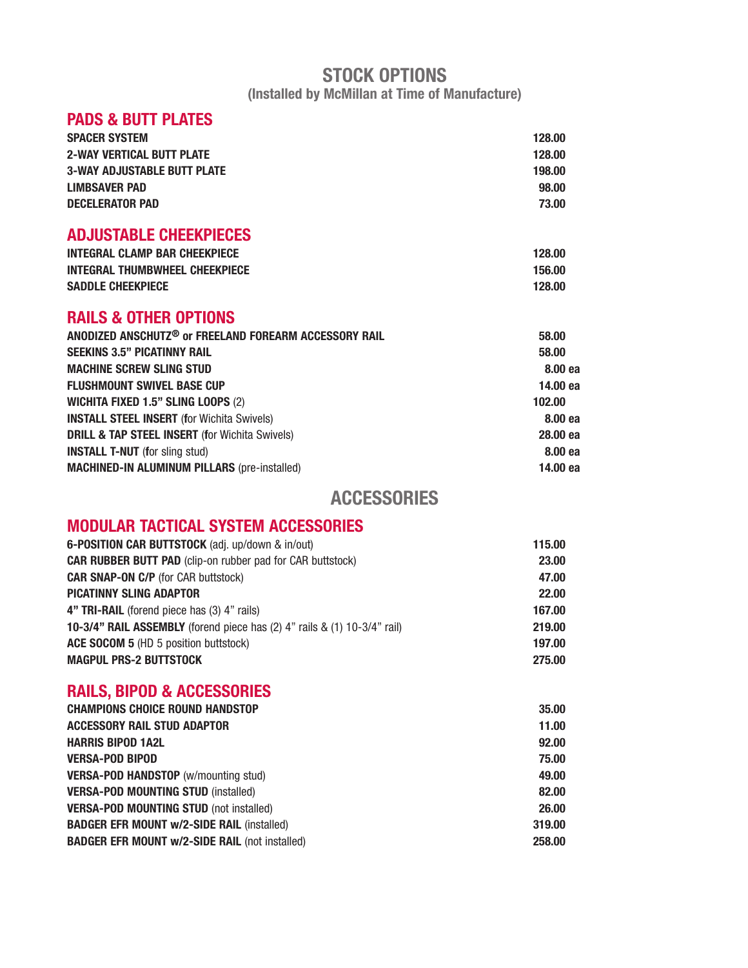#### **STOCK OPTIONS (Installed by McMillan at Time of Manufacture)**

#### **PADS & BUTT PLATES**

| <b>SPACER SYSTEM</b>               | 128.00 |
|------------------------------------|--------|
| <b>2-WAY VERTICAL BUTT PLATE</b>   | 128.00 |
| <b>3-WAY ADJUSTABLE BUTT PLATE</b> | 198.00 |
| LIMBSAVER PAD                      | 98.00  |
| <b>DECELERATOR PAD</b>             | 73.00  |
| <b>ADJUSTABLE CHEEKPIECES</b>      |        |

| <b>INTEGRAL CLAMP BAR CHEEKPIECE</b>  | 128.00 |
|---------------------------------------|--------|
| <b>INTEGRAL THUMBWHEEL CHEEKPIECE</b> | 156.00 |
| <b>SADDLE CHEEKPIECE</b>              | 128.00 |

#### **RAILS & OTHER OPTIONS**

| ANODIZED ANSCHUTZ® or FREELAND FOREARM ACCESSORY RAIL     | 58.00    |
|-----------------------------------------------------------|----------|
| <b>SEEKINS 3.5" PICATINNY RAIL</b>                        | 58.00    |
| <b>MACHINE SCREW SLING STUD</b>                           | 8.00 ea  |
| <b>FLUSHMOUNT SWIVEL BASE CUP</b>                         | 14.00 ea |
| <b>WICHITA FIXED 1.5" SLING LOOPS (2)</b>                 | 102.00   |
| <b>INSTALL STEEL INSERT (for Wichita Swivels)</b>         | 8.00 ea  |
| <b>DRILL &amp; TAP STEEL INSERT (for Wichita Swivels)</b> | 28,00 ea |
| <b>INSTALL T-NUT</b> (for sling stud)                     | 8.00 ea  |
| <b>MACHINED-IN ALUMINUM PILLARS (pre-installed)</b>       | 14.00 ea |
|                                                           |          |

### **ACCESSORIES**

### **MODULAR TACTICAL SYSTEM ACCESSORIES**

| 6-POSITION CAR BUTTSTOCK (adj. up/down & in/out)                         | 115.00 |
|--------------------------------------------------------------------------|--------|
| <b>CAR RUBBER BUTT PAD</b> (clip-on rubber pad for CAR buttstock)        | 23,00  |
| <b>CAR SNAP-ON C/P</b> (for CAR buttstock)                               | 47.00  |
| <b>PICATINNY SLING ADAPTOR</b>                                           | 22.00  |
| 4" TRI-RAIL (forend piece has (3) 4" rails)                              | 167.00 |
| 10-3/4" RAIL ASSEMBLY (forend piece has (2) 4" rails & (1) 10-3/4" rail) | 219.00 |
| ACE SOCOM 5 (HD 5 position buttstock)                                    | 197.00 |
| <b>MAGPUL PRS-2 BUTTSTOCK</b>                                            | 275.00 |

### **RAILS, BIPOD & ACCESSORIES**

| <b>CHAMPIONS CHOICE ROUND HANDSTOP</b>                | 35,00  |
|-------------------------------------------------------|--------|
| <b>ACCESSORY RAIL STUD ADAPTOR</b>                    | 11.00  |
| <b>HARRIS BIPOD 1A2L</b>                              | 92.00  |
| <b>VERSA-POD BIPOD</b>                                | 75.00  |
| <b>VERSA-POD HANDSTOP</b> (w/mounting stud)           | 49.00  |
| <b>VERSA-POD MOUNTING STUD (installed)</b>            | 82.00  |
| <b>VERSA-POD MOUNTING STUD (not installed)</b>        | 26.00  |
| <b>BADGER EFR MOUNT w/2-SIDE RAIL (installed)</b>     | 319.00 |
| <b>BADGER EFR MOUNT w/2-SIDE RAIL (not installed)</b> | 258,00 |